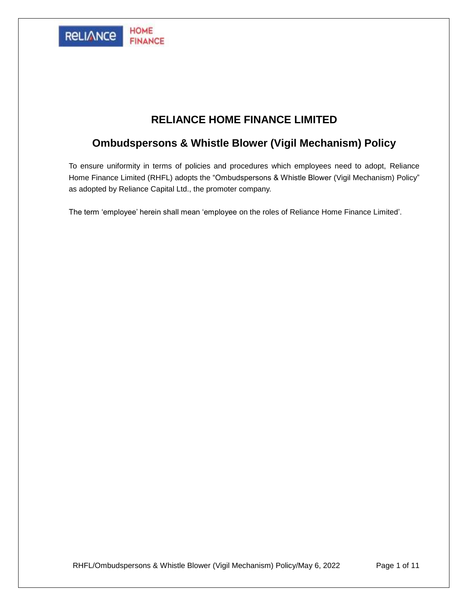

# **RELIANCE HOME FINANCE LIMITED**

# **Ombudspersons & Whistle Blower (Vigil Mechanism) Policy**

To ensure uniformity in terms of policies and procedures which employees need to adopt, Reliance Home Finance Limited (RHFL) adopts the "Ombudspersons & Whistle Blower (Vigil Mechanism) Policy" as adopted by Reliance Capital Ltd., the promoter company.

The term 'employee' herein shall mean 'employee on the roles of Reliance Home Finance Limited'.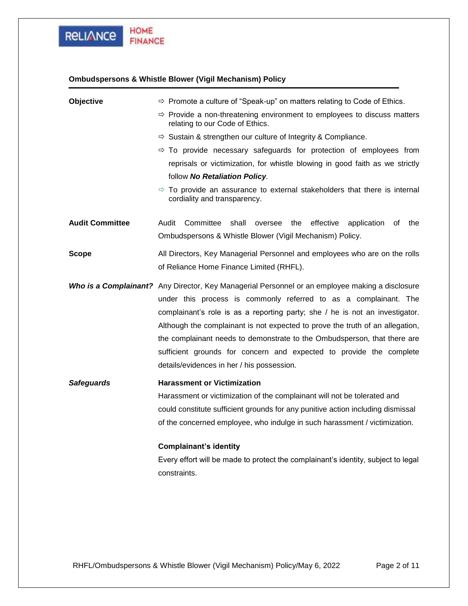

## **Ombudspersons & Whistle Blower (Vigil Mechanism) Policy**

| Objective              | $\Rightarrow$ Promote a culture of "Speak-up" on matters relating to Code of Ethics.                                                                                                                                                                                                                                                                                                                                                                                                                                                  |  |
|------------------------|---------------------------------------------------------------------------------------------------------------------------------------------------------------------------------------------------------------------------------------------------------------------------------------------------------------------------------------------------------------------------------------------------------------------------------------------------------------------------------------------------------------------------------------|--|
|                        | $\Rightarrow$ Provide a non-threatening environment to employees to discuss matters<br>relating to our Code of Ethics.                                                                                                                                                                                                                                                                                                                                                                                                                |  |
|                        | $\Rightarrow$ Sustain & strengthen our culture of Integrity & Compliance.                                                                                                                                                                                                                                                                                                                                                                                                                                                             |  |
|                        | $\Rightarrow$ To provide necessary safeguards for protection of employees from                                                                                                                                                                                                                                                                                                                                                                                                                                                        |  |
|                        | reprisals or victimization, for whistle blowing in good faith as we strictly                                                                                                                                                                                                                                                                                                                                                                                                                                                          |  |
|                        | follow No Retaliation Policy.                                                                                                                                                                                                                                                                                                                                                                                                                                                                                                         |  |
|                        | $\Rightarrow$ To provide an assurance to external stakeholders that there is internal<br>cordiality and transparency.                                                                                                                                                                                                                                                                                                                                                                                                                 |  |
| <b>Audit Committee</b> | Audit Committee<br>shall<br>oversee the<br>effective application<br>the<br>of.<br>Ombudspersons & Whistle Blower (Vigil Mechanism) Policy.                                                                                                                                                                                                                                                                                                                                                                                            |  |
| <b>Scope</b>           | All Directors, Key Managerial Personnel and employees who are on the rolls<br>of Reliance Home Finance Limited (RHFL).                                                                                                                                                                                                                                                                                                                                                                                                                |  |
|                        | Who is a Complainant? Any Director, Key Managerial Personnel or an employee making a disclosure<br>under this process is commonly referred to as a complainant. The<br>complainant's role is as a reporting party; she / he is not an investigator.<br>Although the complainant is not expected to prove the truth of an allegation,<br>the complainant needs to demonstrate to the Ombudsperson, that there are<br>sufficient grounds for concern and expected to provide the complete<br>details/evidences in her / his possession. |  |
| <b>Safeguards</b>      | <b>Harassment or Victimization</b><br>Harassment or victimization of the complainant will not be tolerated and<br>could constitute sufficient grounds for any punitive action including dismissal<br>of the concerned employee, who indulge in such harassment / victimization.<br><b>Complainant's identity</b>                                                                                                                                                                                                                      |  |
|                        | Every effort will be made to protect the complainant's identity, subject to legal<br>constraints.                                                                                                                                                                                                                                                                                                                                                                                                                                     |  |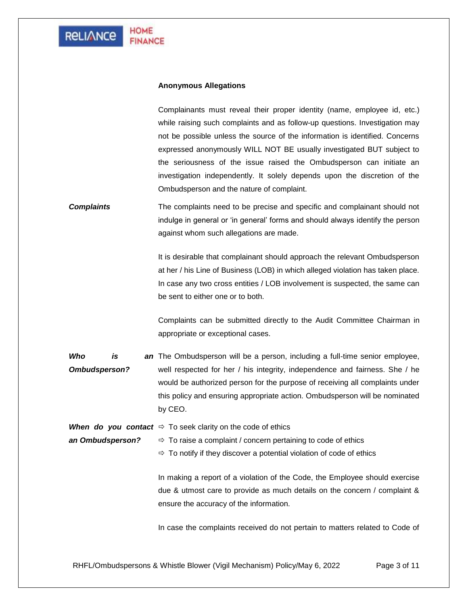### **Anonymous Allegations**

Complainants must reveal their proper identity (name, employee id, etc.) while raising such complaints and as follow-up questions. Investigation may not be possible unless the source of the information is identified. Concerns expressed anonymously WILL NOT BE usually investigated BUT subject to the seriousness of the issue raised the Ombudsperson can initiate an investigation independently. It solely depends upon the discretion of the Ombudsperson and the nature of complaint.

*Complaints* The complaints need to be precise and specific and complainant should not indulge in general or 'in general' forms and should always identify the person against whom such allegations are made.

> It is desirable that complainant should approach the relevant Ombudsperson at her / his Line of Business (LOB) in which alleged violation has taken place. In case any two cross entities / LOB involvement is suspected, the same can be sent to either one or to both.

> Complaints can be submitted directly to the Audit Committee Chairman in appropriate or exceptional cases.

*Who is Ombudsperson?* an The Ombudsperson will be a person, including a full-time senior employee, well respected for her / his integrity, independence and fairness. She / he would be authorized person for the purpose of receiving all complaints under this policy and ensuring appropriate action. Ombudsperson will be nominated by CEO.

**When do you contact**  $\Rightarrow$  To seek clarity on the code of ethics

*an Ombudsperson?*  $\Rightarrow$  To raise a complaint / concern pertaining to code of ethics

 $\Rightarrow$  To notify if they discover a potential violation of code of ethics

In making a report of a violation of the Code, the Employee should exercise due & utmost care to provide as much details on the concern / complaint & ensure the accuracy of the information.

In case the complaints received do not pertain to matters related to Code of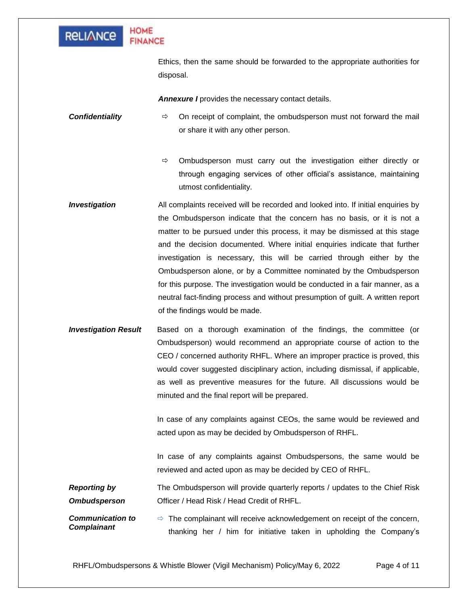

### **HOME FINANCE**

Ethics, then the same should be forwarded to the appropriate authorities for disposal.

**Annexure I** provides the necessary contact details.

**Confidentiality** → Cn receipt of complaint, the ombudsperson must not forward the mail or share it with any other person.

> $\Rightarrow$  Ombudsperson must carry out the investigation either directly or through engaging services of other official's assistance, maintaining utmost confidentiality.

- **Investigation** All complaints received will be recorded and looked into. If initial enquiries by the Ombudsperson indicate that the concern has no basis, or it is not a matter to be pursued under this process, it may be dismissed at this stage and the decision documented. Where initial enquiries indicate that further investigation is necessary, this will be carried through either by the Ombudsperson alone, or by a Committee nominated by the Ombudsperson for this purpose. The investigation would be conducted in a fair manner, as a neutral fact-finding process and without presumption of guilt. A written report of the findings would be made.
- *Investigation Result* Based on a thorough examination of the findings, the committee (or Ombudsperson) would recommend an appropriate course of action to the CEO / concerned authority RHFL. Where an improper practice is proved, this would cover suggested disciplinary action, including dismissal, if applicable, as well as preventive measures for the future. All discussions would be minuted and the final report will be prepared.

In case of any complaints against CEOs, the same would be reviewed and acted upon as may be decided by Ombudsperson of RHFL.

In case of any complaints against Ombudspersons, the same would be reviewed and acted upon as may be decided by CEO of RHFL.

*Reporting by Ombudsperson* The Ombudsperson will provide quarterly reports / updates to the Chief Risk Officer / Head Risk / Head Credit of RHFL.

*Communication to Complainant*  $\Rightarrow$  The complainant will receive acknowledgement on receipt of the concern, thanking her / him for initiative taken in upholding the Company's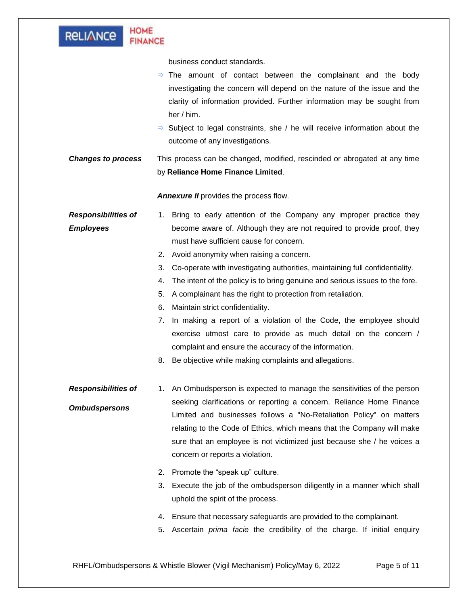| <b>HOME</b><br><b>FINANCE</b>                                                                                                                                                                                                                                                                                                                                                                                                                                                                                                                                                                                                                                                                                                                                                                              |  |  |  |
|------------------------------------------------------------------------------------------------------------------------------------------------------------------------------------------------------------------------------------------------------------------------------------------------------------------------------------------------------------------------------------------------------------------------------------------------------------------------------------------------------------------------------------------------------------------------------------------------------------------------------------------------------------------------------------------------------------------------------------------------------------------------------------------------------------|--|--|--|
| business conduct standards.<br>$\Rightarrow$ The amount of contact between the complainant and the body<br>investigating the concern will depend on the nature of the issue and the<br>clarity of information provided. Further information may be sought from<br>her / him.<br>$\Rightarrow$ Subject to legal constraints, she / he will receive information about the<br>outcome of any investigations.<br>This process can be changed, modified, rescinded or abrogated at any time<br>by Reliance Home Finance Limited.                                                                                                                                                                                                                                                                                |  |  |  |
| Annexure II provides the process flow.                                                                                                                                                                                                                                                                                                                                                                                                                                                                                                                                                                                                                                                                                                                                                                     |  |  |  |
| 1. Bring to early attention of the Company any improper practice they<br>become aware of. Although they are not required to provide proof, they<br>must have sufficient cause for concern.<br>Avoid anonymity when raising a concern.<br>2.<br>3.<br>Co-operate with investigating authorities, maintaining full confidentiality.<br>The intent of the policy is to bring genuine and serious issues to the fore.<br>4.<br>A complainant has the right to protection from retaliation.<br>5.<br>Maintain strict confidentiality.<br>6.<br>7. In making a report of a violation of the Code, the employee should<br>exercise utmost care to provide as much detail on the concern /<br>complaint and ensure the accuracy of the information.<br>Be objective while making complaints and allegations.<br>8. |  |  |  |
| An Ombudsperson is expected to manage the sensitivities of the person<br>1.<br>seeking clarifications or reporting a concern. Reliance Home Finance<br>Limited and businesses follows a "No-Retaliation Policy" on matters<br>relating to the Code of Ethics, which means that the Company will make<br>sure that an employee is not victimized just because she / he voices a<br>concern or reports a violation.<br>Promote the "speak up" culture.<br>2.<br>3.<br>Execute the job of the ombudsperson diligently in a manner which shall<br>uphold the spirit of the process.<br>Ensure that necessary safeguards are provided to the complainant.<br>4.<br>5.<br>Ascertain <i>prima facie</i> the credibility of the charge. If initial enquiry                                                         |  |  |  |
|                                                                                                                                                                                                                                                                                                                                                                                                                                                                                                                                                                                                                                                                                                                                                                                                            |  |  |  |

RHFL/Ombudspersons & Whistle Blower (Vigil Mechanism) Policy/May 6, 2022 Page 5 of 11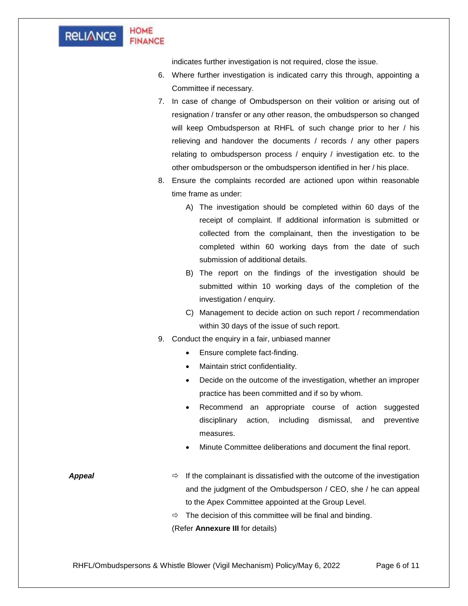#### **HOME RELIANCE FINANCE**

indicates further investigation is not required, close the issue.

- 6. Where further investigation is indicated carry this through, appointing a Committee if necessary.
- 7. In case of change of Ombudsperson on their volition or arising out of resignation / transfer or any other reason, the ombudsperson so changed will keep Ombudsperson at RHFL of such change prior to her / his relieving and handover the documents / records / any other papers relating to ombudsperson process / enquiry / investigation etc. to the other ombudsperson or the ombudsperson identified in her / his place.
- 8. Ensure the complaints recorded are actioned upon within reasonable time frame as under:
	- A) The investigation should be completed within 60 days of the receipt of complaint. If additional information is submitted or collected from the complainant, then the investigation to be completed within 60 working days from the date of such submission of additional details.
	- B) The report on the findings of the investigation should be submitted within 10 working days of the completion of the investigation / enquiry.
	- C) Management to decide action on such report / recommendation within 30 days of the issue of such report.
- 9. Conduct the enquiry in a fair, unbiased manner
	- Ensure complete fact-finding.
	- Maintain strict confidentiality.
	- Decide on the outcome of the investigation, whether an improper practice has been committed and if so by whom.
	- Recommend an appropriate course of action suggested disciplinary action, including dismissal, and preventive measures.
	- Minute Committee deliberations and document the final report.

**Appeal If the complainant is dissatisfied with the outcome of the investigation** and the judgment of the Ombudsperson / CEO, she / he can appeal to the Apex Committee appointed at the Group Level.

 $\Rightarrow$  The decision of this committee will be final and binding.

(Refer **Annexure III** for details)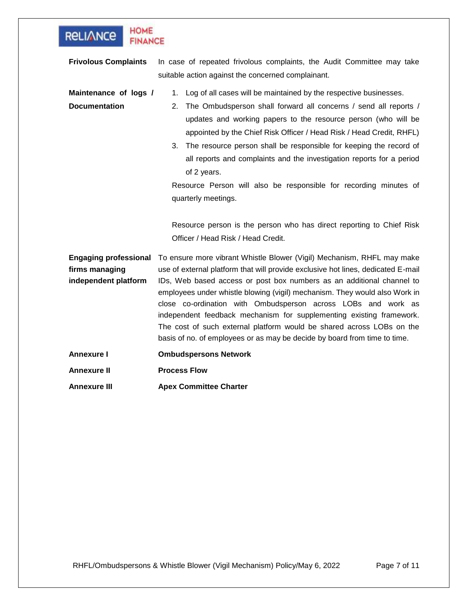| <b>HOME</b><br><b>RELIANCE</b><br><b>FINANCE</b>                       |                                                                                                                                                                                                                                                                                                                                                                                                                                                                                                                                                                                                                                                                     |  |
|------------------------------------------------------------------------|---------------------------------------------------------------------------------------------------------------------------------------------------------------------------------------------------------------------------------------------------------------------------------------------------------------------------------------------------------------------------------------------------------------------------------------------------------------------------------------------------------------------------------------------------------------------------------------------------------------------------------------------------------------------|--|
| <b>Frivolous Complaints</b>                                            | In case of repeated frivolous complaints, the Audit Committee may take<br>suitable action against the concerned complainant.                                                                                                                                                                                                                                                                                                                                                                                                                                                                                                                                        |  |
| Maintenance of logs /<br><b>Documentation</b>                          | 1. Log of all cases will be maintained by the respective businesses.<br>The Ombudsperson shall forward all concerns / send all reports /<br>2.<br>updates and working papers to the resource person (who will be<br>appointed by the Chief Risk Officer / Head Risk / Head Credit, RHFL)<br>3. The resource person shall be responsible for keeping the record of<br>all reports and complaints and the investigation reports for a period<br>of 2 years.<br>Resource Person will also be responsible for recording minutes of<br>quarterly meetings.<br>Resource person is the person who has direct reporting to Chief Risk<br>Officer / Head Risk / Head Credit. |  |
| <b>Engaging professional</b><br>firms managing<br>independent platform | To ensure more vibrant Whistle Blower (Vigil) Mechanism, RHFL may make<br>use of external platform that will provide exclusive hot lines, dedicated E-mail<br>IDs, Web based access or post box numbers as an additional channel to<br>employees under whistle blowing (vigil) mechanism. They would also Work in<br>close co-ordination with Ombudsperson across LOBs and work as<br>independent feedback mechanism for supplementing existing framework.<br>The cost of such external platform would be shared across LOBs on the<br>basis of no. of employees or as may be decide by board from time to time.                                                    |  |
| Annexure I                                                             | <b>Ombudspersons Network</b>                                                                                                                                                                                                                                                                                                                                                                                                                                                                                                                                                                                                                                        |  |
| Annexure II                                                            | <b>Process Flow</b>                                                                                                                                                                                                                                                                                                                                                                                                                                                                                                                                                                                                                                                 |  |
| Annexure III                                                           | <b>Apex Committee Charter</b>                                                                                                                                                                                                                                                                                                                                                                                                                                                                                                                                                                                                                                       |  |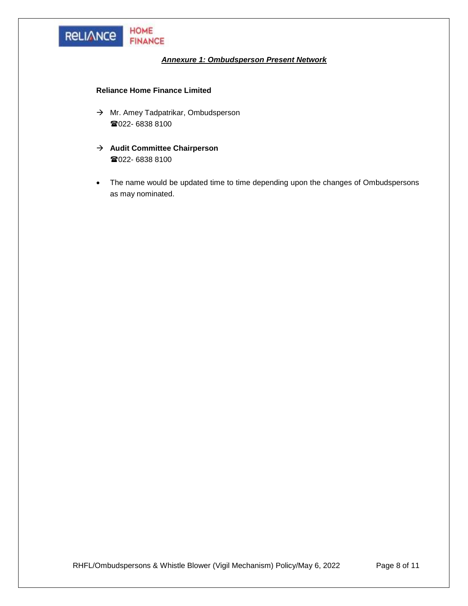

### *Annexure 1: Ombudsperson Present Network*

### **Reliance Home Finance Limited**

- → Mr. Amey Tadpatrikar, Ombudsperson ■022- 6838 8100
- → **Audit Committee Chairperson** ■022- 6838 8100
- The name would be updated time to time depending upon the changes of Ombudspersons as may nominated.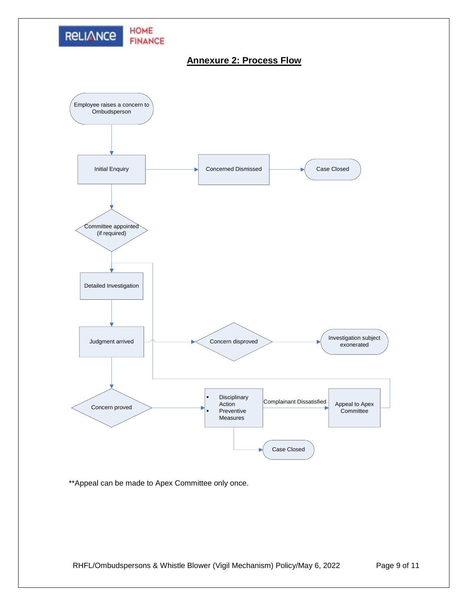

# **Annexure 2: Process Flow**



\*\*Appeal can be made to Apex Committee only once.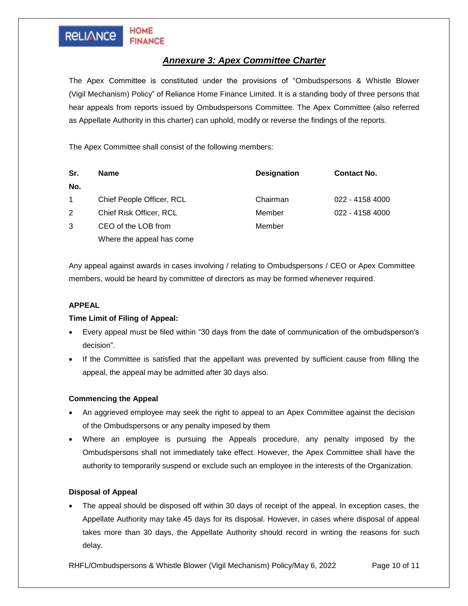# **RELIANCE**

**HOME** 

**FINANCE** 

### *Annexure 3: Apex Committee Charter*

The Apex Committee is constituted under the provisions of "Ombudspersons & Whistle Blower (Vigil Mechanism) Policy" of Reliance Home Finance Limited. It is a standing body of three persons that hear appeals from reports issued by Ombudspersons Committee. The Apex Committee (also referred as Appellate Authority in this charter) can uphold, modify or reverse the findings of the reports.

The Apex Committee shall consist of the following members:

| Sr.         | <b>Name</b>               | <b>Designation</b> | <b>Contact No.</b> |
|-------------|---------------------------|--------------------|--------------------|
| No.         |                           |                    |                    |
| $\mathbf 1$ | Chief People Officer, RCL | Chairman           | 022 - 4158 4000    |
| 2           | Chief Risk Officer, RCL   | Member             | 022 - 4158 4000    |
| 3           | CEO of the LOB from       | Member             |                    |
|             | Where the appeal has come |                    |                    |

Any appeal against awards in cases involving / relating to Ombudspersons / CEO or Apex Committee members, would be heard by committee of directors as may be formed whenever required.

### **APPEAL**

### **Time Limit of Filing of Appeal:**

- Every appeal must be filed within "30 days from the date of communication of the ombudsperson's decision".
- If the Committee is satisfied that the appellant was prevented by sufficient cause from filling the appeal, the appeal may be admitted after 30 days also.

### **Commencing the Appeal**

- An aggrieved employee may seek the right to appeal to an Apex Committee against the decision of the Ombudspersons or any penalty imposed by them
- Where an employee is pursuing the Appeals procedure, any penalty imposed by the Ombudspersons shall not immediately take effect. However, the Apex Committee shall have the authority to temporarily suspend or exclude such an employee in the interests of the Organization.

### **Disposal of Appeal**

The appeal should be disposed off within 30 days of receipt of the appeal. In exception cases, the Appellate Authority may take 45 days for its disposal. However, in cases where disposal of appeal takes more than 30 days, the Appellate Authority should record in writing the reasons for such delay.

RHFL/Ombudspersons & Whistle Blower (Vigil Mechanism) Policy/May 6, 2022 Page 10 of 11